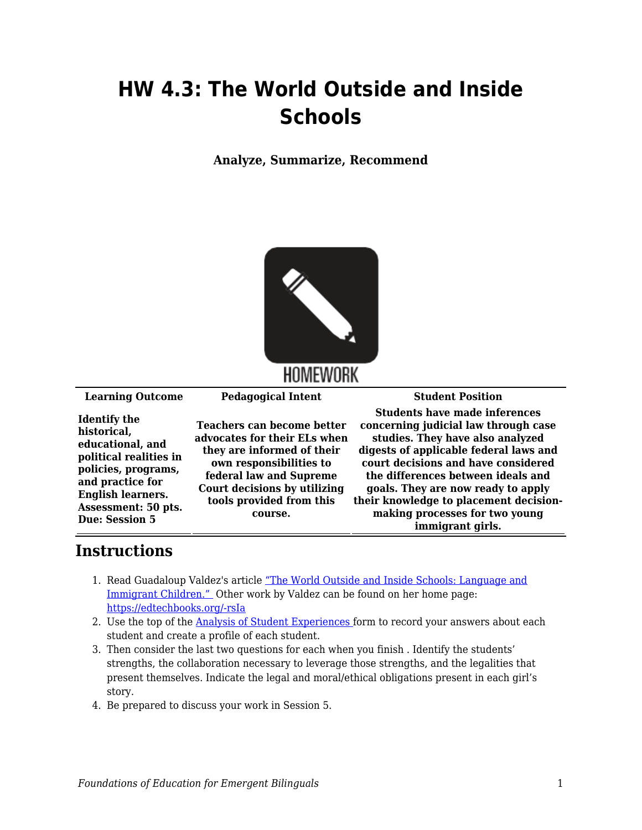## **HW 4.3: The World Outside and Inside Schools**

**Analyze, Summarize, Recommend**



**Learning Outcome Pedagogical Intent Student Position**

**Identify the historical, educational, and political realities in policies, programs, and practice for English learners. Assessment: 50 pts. Due: Session 5**

**Teachers can become better advocates for their ELs when they are informed of their own responsibilities to federal law and Supreme Court decisions by utilizing tools provided from this course.**

**Students have made inferences concerning judicial law through case studies. They have also analyzed digests of applicable federal laws and court decisions and have considered the differences between ideals and goals. They are now ready to apply their knowledge to placement decisionmaking processes for two young immigrant girls.**

## **Instructions**

- 1. Read Guadaloup Valdez's article ["The World Outside and Inside Schools: Language and](https://byu.box.com/s/07g6yarlnjkujtkw7h82dahmefew207t) [Immigrant Children."](https://byu.box.com/s/07g6yarlnjkujtkw7h82dahmefew207t) Other work by Valdez can be found on her home page: [https://edtechbooks.org/-rsIa](https://ed.stanford.edu/faculty/gvaldes)
- 2. Use the top of the **Analysis of Student Experiences** form to record your answers about each student and create a profile of each student.
- 3. Then consider the last two questions for each when you finish . Identify the students' strengths, the collaboration necessary to leverage those strengths, and the legalities that present themselves. Indicate the legal and moral/ethical obligations present in each girl's story.
- 4. Be prepared to discuss your work in Session 5.